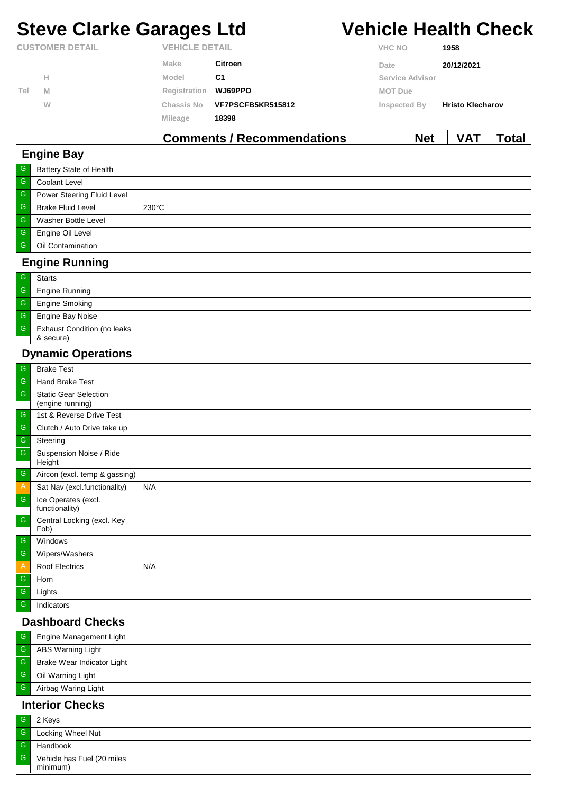# **Steve Clarke Garages Ltd Vehicle Health Check**

|                        |   |                       | <b>Comments / Recommendations</b> | <b>Net</b>      | <b>VAT</b>              | Total |
|------------------------|---|-----------------------|-----------------------------------|-----------------|-------------------------|-------|
|                        |   | Mileage               | 18398                             |                 |                         |       |
|                        | W | Chassis No            | VF7PSCFB5KR515812                 | Inspected By    | <b>Hristo Klecharov</b> |       |
| Tel                    | M | Registration          | WJ69PPO                           | <b>MOT Due</b>  |                         |       |
|                        | н | Model                 | C <sub>1</sub>                    | Service Advisor |                         |       |
|                        |   | Make                  | <b>Citroen</b>                    | Date            | 20/12/2021              |       |
| <b>CUSTOMER DETAIL</b> |   | <b>VEHICLE DETAIL</b> |                                   | <b>VHC NO</b>   | 1958                    |       |

|                         |                                                  | 0111111011107 110001111110110110111 |  | , , , |  |  |  |
|-------------------------|--------------------------------------------------|-------------------------------------|--|-------|--|--|--|
| <b>Engine Bay</b>       |                                                  |                                     |  |       |  |  |  |
| ${\mathsf G}$           | Battery State of Health                          |                                     |  |       |  |  |  |
| ${\mathsf G}$           | Coolant Level                                    |                                     |  |       |  |  |  |
| ${\mathsf G}$           | Power Steering Fluid Level                       |                                     |  |       |  |  |  |
| ${\mathsf G}$           | <b>Brake Fluid Level</b>                         | 230°C                               |  |       |  |  |  |
| ${\mathsf G}$           | Washer Bottle Level                              |                                     |  |       |  |  |  |
| ${\mathsf G}$           | Engine Oil Level                                 |                                     |  |       |  |  |  |
| ${\mathsf G}$           | Oil Contamination                                |                                     |  |       |  |  |  |
|                         | <b>Engine Running</b>                            |                                     |  |       |  |  |  |
| G                       | <b>Starts</b>                                    |                                     |  |       |  |  |  |
| ${\mathsf G}$           | <b>Engine Running</b>                            |                                     |  |       |  |  |  |
| $\mathsf G$             | <b>Engine Smoking</b>                            |                                     |  |       |  |  |  |
| ${\mathsf G}$           | Engine Bay Noise                                 |                                     |  |       |  |  |  |
| ${\mathsf G}$           | <b>Exhaust Condition (no leaks</b><br>& secure)  |                                     |  |       |  |  |  |
|                         | <b>Dynamic Operations</b>                        |                                     |  |       |  |  |  |
|                         |                                                  |                                     |  |       |  |  |  |
| ${\mathsf G}$           | <b>Brake Test</b>                                |                                     |  |       |  |  |  |
| ${\mathsf G}$           | Hand Brake Test                                  |                                     |  |       |  |  |  |
| ${\mathsf G}$           | <b>Static Gear Selection</b><br>(engine running) |                                     |  |       |  |  |  |
| ${\mathsf G}$           | 1st & Reverse Drive Test                         |                                     |  |       |  |  |  |
| $\mathsf G$             | Clutch / Auto Drive take up                      |                                     |  |       |  |  |  |
| ${\mathsf G}$           | Steering                                         |                                     |  |       |  |  |  |
| ${\mathsf G}$           | Suspension Noise / Ride<br>Height                |                                     |  |       |  |  |  |
| ${\mathsf G}$           | Aircon (excl. temp & gassing)                    |                                     |  |       |  |  |  |
| A                       | Sat Nav (excl.functionality)                     | N/A                                 |  |       |  |  |  |
| ${\mathsf G}$           | Ice Operates (excl.<br>functionality)            |                                     |  |       |  |  |  |
| $\mathsf G$             | Central Locking (excl. Key<br>Fob)               |                                     |  |       |  |  |  |
| ${\mathsf G}$           | Windows                                          |                                     |  |       |  |  |  |
| G                       | Wipers/Washers                                   |                                     |  |       |  |  |  |
| Α                       | <b>Roof Electrics</b>                            | N/A                                 |  |       |  |  |  |
| ${\mathsf G}$           | Horn                                             |                                     |  |       |  |  |  |
| ${\mathsf G}$           | Lights                                           |                                     |  |       |  |  |  |
| ${\mathbb G}$           | Indicators                                       |                                     |  |       |  |  |  |
| <b>Dashboard Checks</b> |                                                  |                                     |  |       |  |  |  |
| ${\mathsf G}$           | Engine Management Light                          |                                     |  |       |  |  |  |
| ${\mathsf G}$           | ABS Warning Light                                |                                     |  |       |  |  |  |
| ${\mathsf G}$           | Brake Wear Indicator Light                       |                                     |  |       |  |  |  |
| ${\mathsf G}$           | Oil Warning Light                                |                                     |  |       |  |  |  |
| ${\mathsf G}$           | Airbag Waring Light                              |                                     |  |       |  |  |  |
| <b>Interior Checks</b>  |                                                  |                                     |  |       |  |  |  |

### G 2 Keys G Locking Wheel Nut G Handbook Vehicle has Fuel (20 miles minimum) G